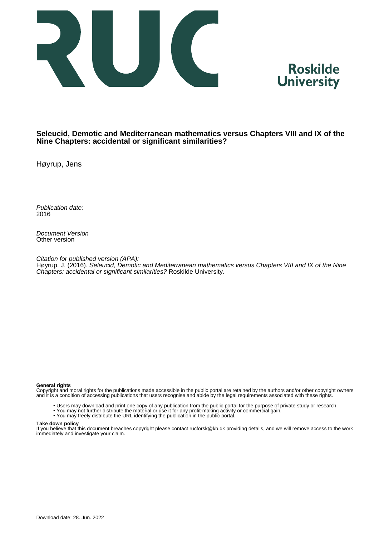



#### **Seleucid, Demotic and Mediterranean mathematics versus Chapters VIII and IX of the Nine Chapters: accidental or significant similarities?**

Høyrup, Jens

Publication date: 2016

Document Version Other version

Citation for published version (APA):

Høyrup, J. (2016). Seleucid, Demotic and Mediterranean mathematics versus Chapters VIII and IX of the Nine Chapters: accidental or significant similarities? Roskilde University.

#### **General rights**

Copyright and moral rights for the publications made accessible in the public portal are retained by the authors and/or other copyright owners and it is a condition of accessing publications that users recognise and abide by the legal requirements associated with these rights.

- Users may download and print one copy of any publication from the public portal for the purpose of private study or research.
- You may not further distribute the material or use it for any profit-making activity or commercial gain.
- You may freely distribute the URL identifying the publication in the public portal.

#### **Take down policy**

If you believe that this document breaches copyright please contact rucforsk@kb.dk providing details, and we will remove access to the work immediately and investigate your claim.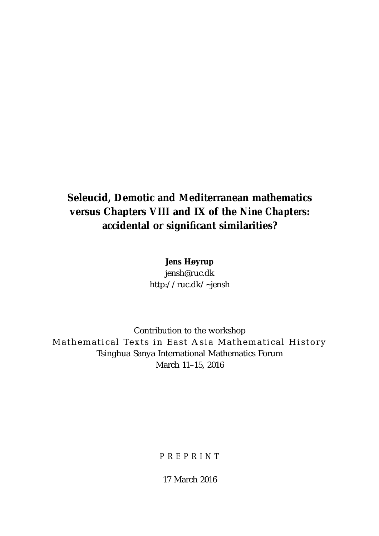# **Seleucid, Demotic and Mediterranean mathematics versus Chapters VIII and IX of the** *Nine Chapters:* **accidental or significant similarities?**

**Jens Høyrup** jensh@ruc.dk http://ruc.dk/~jensh

Contribution to the workshop Mathematical Texts in East Asia Mathematical History Tsinghua Sanya International Mathematics Forum March 11–15, 2016

*PREPRINT*

17 March 2016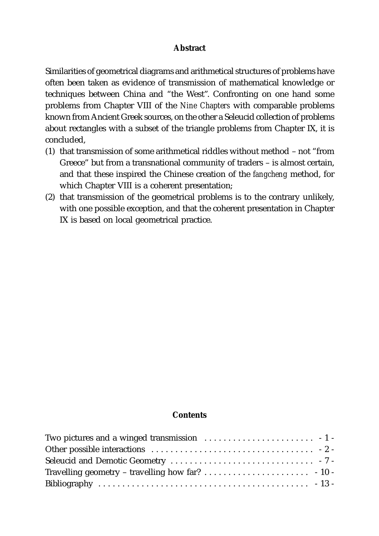#### **Abstract**

Similarities of geometrical diagrams and arithmetical structures of problems have often been taken as evidence of transmission of mathematical knowledge or techniques between China and "the West". Confronting on one hand some problems from Chapter VIII of the *Nine Chapters* with comparable problems known from Ancient Greek sources, on the other a Seleucid collection of problems about rectangles with a subset of the triangle problems from Chapter IX, it is concluded,

- (1) that transmission of some arithmetical riddles without method not "from Greece" but from a transnational community of traders – is almost certain, and that these inspired the Chinese creation of the *fangcheng* method, for which Chapter VIII is a coherent presentation;
- (2) that transmission of the geometrical problems is to the contrary unlikely, with one possible exception, and that the coherent presentation in Chapter IX is based on local geometrical practice.

#### **Contents**

| Two pictures and a winged transmission $\ldots \ldots \ldots \ldots \ldots \ldots \ldots \ldots$ |  |
|--------------------------------------------------------------------------------------------------|--|
|                                                                                                  |  |
|                                                                                                  |  |
|                                                                                                  |  |
|                                                                                                  |  |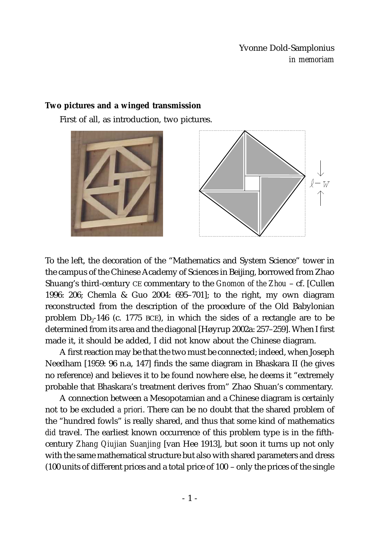Yvonne Dold-Samplonius *in memoriam*

### **Two pictures and a winged transmission**

First of all, as introduction, two pictures.



To the left, the decoration of the "Mathematics and System Science" tower in the campus of the Chinese Academy of Sciences in Beijing, borrowed from Zhao Shuang's third-century CE commentary to the *Gnomon of the Zhou* – cf. [Cullen 1996: 206; Chemla & Guo 2004: 695–701]; to the right, my own diagram reconstructed from the description of the procedure of the Old Babylonian problem  $Db_2-146$  (c. 1775 BCE), in which the sides of a rectangle are to be determined from its area and the diagonal [Høyrup 2002a: 257–259]. When I first made it, it should be added, I did not know about the Chinese diagram.

A first reaction may be that the two must be connected; indeed, when Joseph Needham [1959: 96 n.a, 147] finds the same diagram in Bhaskara II (he gives no reference) and believes it to be found nowhere else, he deems it "extremely probable that Bhaskara's treatment derives from" Zhao Shuan's commentary.

A connection between a Mesopotamian and a Chinese diagram is certainly not to be excluded *a priori*. There can be no doubt that the shared problem of the "hundred fowls" is really shared, and thus that some kind of mathematics *did* travel. The earliest known occurrence of this problem type is in the fifthcentury *Zhang Qiujian Suanjing* [van Hee 1913], but soon it turns up not only with the same mathematical structure but also with shared parameters and dress (100 units of different prices and a total price of 100 – only the prices of the single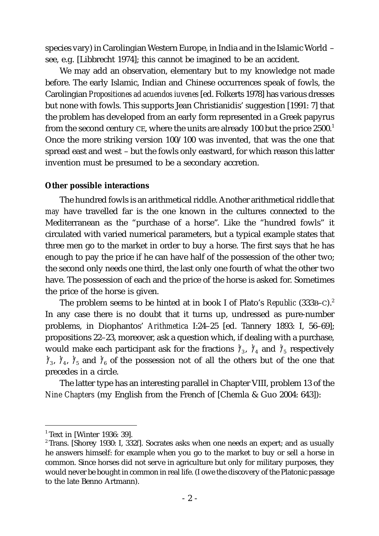species vary) in Carolingian Western Europe, in India and in the Islamic World – see, e.g. [Libbrecht 1974]; this cannot be imagined to be an accident.

We may add an observation, elementary but to my knowledge not made before. The early Islamic, Indian and Chinese occurrences speak of fowls, the Carolingian *Propositiones ad acuendos iuvenes* [ed. Folkerts 1978] has various dresses but none with fowls. This supports Jean Christianidis' suggestion [1991: 7] that the problem has developed from an early form represented in a Greek papyrus from the second century CE, where the units are already 100 but the price  $2500<sup>1</sup>$ Once the more striking version 100/100 was invented, that was the one that spread east and west – but the fowls only eastward, for which reason this latter invention must be presumed to be a secondary accretion.

#### **Other possible interactions**

The hundred fowls is an arithmetical riddle. Another arithmetical riddle that *may* have travelled far is the one known in the cultures connected to the Mediterranean as the "purchase of a horse". Like the "hundred fowls" it circulated with varied numerical parameters, but a typical example states that three men go to the market in order to buy a horse. The first says that he has enough to pay the price if he can have half of the possession of the other two; the second only needs one third, the last only one fourth of what the other two have. The possession of each and the price of the horse is asked for. Sometimes the price of the horse is given.

The problem seems to be hinted at in book I of Plato's *Republic* (333B–C).<sup>2</sup> In any case there is no doubt that it turns up, undressed as pure-number problems, in Diophantos' *Arithmetica* I:24–25 [ed. Tannery 1893: I, 56–69]; propositions 22–23, moreover, ask a question which, if dealing with a purchase, would make each participant ask for the fractions  $\frac{1}{3}$ ,  $\frac{1}{4}$  and  $\frac{1}{5}$  respectively  $\frac{1}{3}$ ,  $\frac{1}{4}$ ,  $\frac{1}{5}$  and  $\frac{1}{6}$  of the possession not of all the others but of the one that precedes in a circle.

The latter type has an interesting parallel in Chapter VIII, problem 13 of the *Nine Chapters* (my English from the French of [Chemla & Guo 2004: 643]):

 $<sup>1</sup>$  Text in [Winter 1936: 39].</sup>

<sup>2</sup> Trans. [Shorey 1930: I, 332*f*]. Socrates asks when one needs an expert; and as usually he answers himself: for example when you go to the market to buy or sell a horse in common. Since horses did not serve in agriculture but only for military purposes, they would never be bought in common in real life. (I owe the discovery of the Platonic passage to the late Benno Artmann).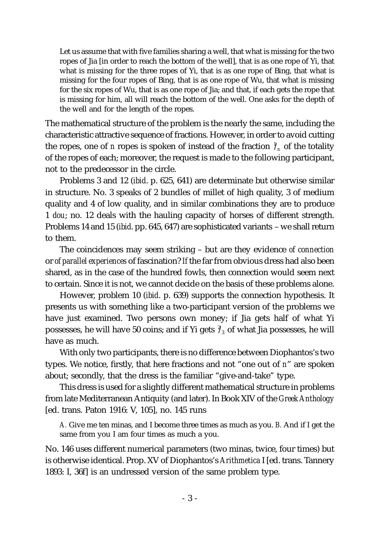Let us assume that with five families sharing a well, that what is missing for the two ropes of Jia [in order to reach the bottom of the well], that is as one rope of Yi, that what is missing for the three ropes of Yi, that is as one rope of Bing, that what is missing for the four ropes of Bing, that is as one rope of Wu, that what is missing for the six ropes of Wu, that is as one rope of Jia; and that, if each gets the rope that is missing for him, all will reach the bottom of the well. One asks for the depth of the well and for the length of the ropes.

The mathematical structure of the problem is the nearly the same, including the characteristic attractive sequence of fractions. However, in order to avoid cutting the ropes, one of *n* ropes is spoken of instead of the fraction  $\frac{1}{n}$  of the totality of the ropes of each; moreover, the request is made to the following participant, not to the predecessor in the circle.

Problems 3 and 12 (*ibid*. p. 625, 641) are determinate but otherwise similar in structure. No. 3 speaks of 2 bundles of millet of high quality, 3 of medium quality and 4 of low quality, and in similar combinations they are to produce 1 *dou*; no. 12 deals with the hauling capacity of horses of different strength. Problems 14 and 15 (*ibid*. pp. 645, 647) are sophisticated variants – we shall return to them.

The coincidences may seem striking – but are they evidence *of connection* or *of parallel experiences* of fascination? *If* the far from obvious dress had also been shared, as in the case of the hundred fowls, then connection would seem next to certain. Since it is not, we cannot decide on the basis of these problems alone.

However, problem 10 (*ibid*. p. 639) supports the connection hypothesis. It presents us with something like a two-participant version of the problems we have just examined. Two persons own money; if Jia gets half of what Yi possesses, he will have 50 coins; and if Yi gets  $\frac{2}{3}$  of what Jia possesses, he will have as much.

With only two participants, there is no difference between Diophantos's two types. We notice, firstly, that here fractions and not "one out of *n*" are spoken about; secondly, that the dress is the familiar "give-and-take" type.

This dress is used for a slightly different mathematical structure in problems from late Mediterranean Antiquity (and later). In Book XIV of the *Greek Anthology* [ed. trans. Paton 1916: V, 105], no. 145 runs

*A.* Give me ten minas, and I become three times as much as you. *B.* And if I get the same from you I am four times as much a you.

No. 146 uses different numerical parameters (two minas, twice, four times) but is otherwise identical. Prop. XV of Diophantos's *Arithmetica* I [ed. trans. Tannery 1893: I, 36f] is an undressed version of the same problem type.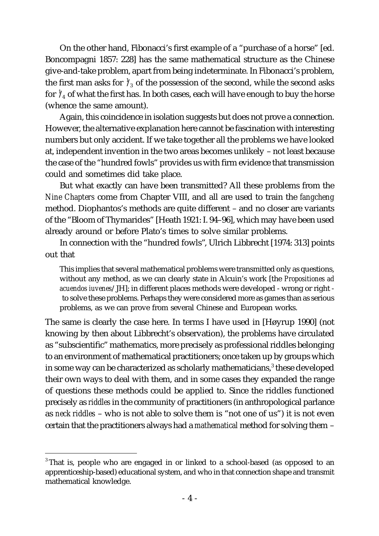On the other hand, Fibonacci's first example of a "purchase of a horse" [ed. Boncompagni 1857: 228] has the same mathematical structure as the Chinese give-and-take problem, apart from being indeterminate. In Fibonacci's problem, the first man asks for  $\frac{1}{3}$  of the possession of the second, while the second asks for  $\frac{1}{4}$  of what the first has. In both cases, each will have enough to buy the horse (whence the same amount).

Again, this coincidence in isolation suggests but does not prove a connection. However, the alternative explanation here cannot be fascination with interesting numbers but only accident. If we take together all the problems we have looked at, independent invention in the two areas becomes unlikely – not least because the case of the "hundred fowls" provides us with firm evidence that transmission could and sometimes did take place.

But what exactly can have been transmitted? All these problems from the *Nine Chapters* come from Chapter VIII, and all are used to train the *fangcheng* method. Diophantos's methods are quite different – and no closer are variants of the "Bloom of Thymarides" [Heath 1921: I. 94–96], which may have been used already around or before Plato's times to solve similar problems.

In connection with the "hundred fowls", Ulrich Libbrecht [1974: 313] points out that

This implies that several mathematical problems were transmitted only as questions, without any method, as we can clearly state in Alcuin's work [the *Propositiones ad acuendos iuvenes*/JH]; in different places methods were developed - wrong or right to solve these problems. Perhaps they were considered more as games than as serious problems, as we can prove from several Chinese and European works.

The same is clearly the case here. In terms I have used in [Høyrup 1990] (not knowing by then about Libbrecht's observation), the problems have circulated as "subscientific" mathematics, more precisely as professional riddles belonging to an environment of mathematical practitioners; once taken up by groups which in some way can be characterized as scholarly mathematicians, $3$  these developed their own ways to deal with them, and in some cases they expanded the range of questions these methods could be applied to. Since the riddles functioned precisely as *riddles* in the community of practitioners (in anthropological parlance as *neck riddles* – who is not able to solve them is "not one of us") it is not even certain that the practitioners always had a *mathematical* method for solving them –

<sup>&</sup>lt;sup>3</sup> That is, people who are engaged in or linked to a school-based (as opposed to an apprenticeship-based) educational system, and who in that connection shape and transmit mathematical knowledge.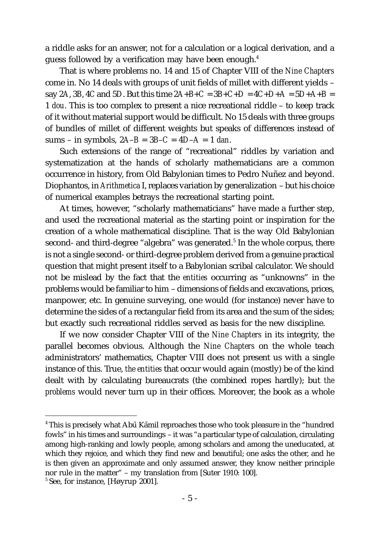a riddle asks for an answer, not for a calculation or a logical derivation, and a guess followed by a verification may have been enough.4

That is where problems no. 14 and 15 of Chapter VIII of the *Nine Chapters* come in. No 14 deals with groups of unit fields of millet with different yields – say 2*A*, 3*B*, 4*C* and 5*D*. But this time  $2A+B+C = 3B+C+D = 4C+D+A = 5D+A+B =$ 1 *dou*. This is too complex to present a nice recreational riddle – to keep track of it without material support would be difficult. No 15 deals with three groups of bundles of millet of different weights but speaks of differences instead of sums – in symbols, 2*A*–*B* = 3*B*–*C* = 4*D*–*A* = 1 *dan*.

Such extensions of the range of "recreational" riddles by variation and systematization at the hands of scholarly mathematicians are a common occurrence in history, from Old Babylonian times to Pedro Nuñez and beyond. Diophantos, in *Arithmetica* I, replaces variation by generalization – but his choice of numerical examples betrays the recreational starting point.

At times, however, "scholarly mathematicians" have made a further step, and used the recreational material as the starting point or inspiration for the creation of a whole mathematical discipline. That is the way Old Babylonian second- and third-degree "algebra" was generated.<sup>5</sup> In the whole corpus, there is not a single second- or third-degree problem derived from a genuine practical question that might present itself to a Babylonian scribal calculator. We should not be mislead by the fact that the *entities* occurring as "unknowns" in the problems would be familiar to him – dimensions of fields and excavations, prices, manpower, etc. In genuine surveying, one would (for instance) never have to determine the sides of a rectangular field from its area and the sum of the sides; but exactly such recreational riddles served as basis for the new discipline.

If we now consider Chapter VIII of the *Nine Chapters* in its integrity, the parallel becomes obvious. Although the *Nine Chapters* on the whole teach administrators' mathematics, Chapter VIII does not present us with a single instance of this. True, *the entities* that occur would again (mostly) be of the kind dealt with by calculating bureaucrats (the combined ropes hardly); but *the problems* would never turn up in their offices. Moreover, the book as a whole

 $^4\!$  This is precisely what Abū Kāmil reproaches those who took pleasure in the "hundred fowls" in his times and surroundings – it was "a particular type of calculation, circulating among high-ranking and lowly people, among scholars and among the uneducated, at which they rejoice, and which they find new and beautiful; one asks the other, and he is then given an approximate and only assumed answer, they know neither principle nor rule in the matter" – my translation from [Suter 1910: 100].

<sup>&</sup>lt;sup>5</sup> See, for instance, [Høyrup 2001].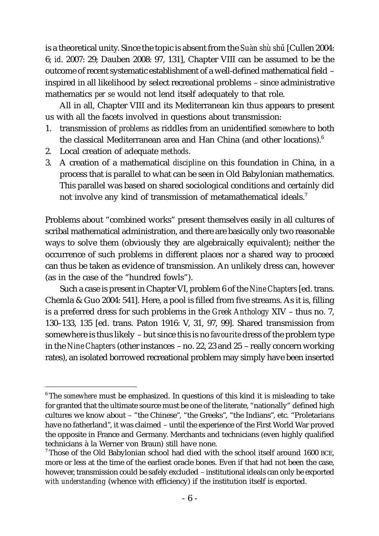is a theoretical unity. Since the topic is absent from the *Suàn shù shū* [Cullen 2004: 6; *id*. 2007: 29; Dauben 2008: 97, 131], Chapter VIII can be assumed to be the outcome of recent systematic establishment of a well-defined mathematical field – inspired in all likelihood by select recreational problems – since administrative mathematics *per se* would not lend itself adequately to that role.

All in all, Chapter VIII and its Mediterranean kin thus appears to present us with all the facets involved in questions about transmission:

- 1. transmission of *problems* as riddles from an unidentified *somewhere* to both the classical Mediterranean area and Han China (and other locations).<sup>6</sup>
- 2. Local creation of adequate *methods*.
- 3. A creation of a mathematical *discipline* on this foundation in China, in a process that is parallel to what can be seen in Old Babylonian mathematics. This parallel was based on shared sociological conditions and certainly did not involve any kind of transmission of metamathematical ideals.<sup>7</sup>

Problems about "combined works" present themselves easily in all cultures of scribal mathematical administration, and there are basically only two reasonable ways to solve them (obviously they are algebraically equivalent); neither the occurrence of such problems in different places nor a shared way to proceed can thus be taken as evidence of transmission. An unlikely dress can, however (as in the case of the "hundred fowls").

Such a case is present in Chapter VI, problem 6 of the *Nine Chapters* [ed. trans. Chemla & Guo 2004: 541]. Here, a pool is filled from five streams. As it is, filling is a preferred dress for such problems in the *Greek Anthology* XIV – thus no. 7, 130–133, 135 [ed. trans. Paton 1916: V, 31, 97, 99]. Shared transmission from somewhere is thus likely – but since this is no *favourite* dress of the problem type in the *Nine Chapters* (other instances – no. 22, 23 and 25 – really concern working rates), an isolated borrowed recreational problem may simply have been inserted

<sup>&</sup>lt;sup>6</sup> The *somewhere* must be emphasized. In questions of this kind it is misleading to take for granted that the ultimate source must be one of the literate, "nationally" defined high cultures we know about – "the Chinese", "the Greeks", "the Indians", etc. "Proletarians have no fatherland", it was claimed – until the experience of the First World War proved the opposite in France and Germany. Merchants and technicians (even highly qualified technicians à la Werner von Braun) still have none.

<sup>7</sup> Those of the Old Babylonian school had died with the school itself around 1600 BCE, more or less at the time of the earliest oracle bones. Even if that had not been the case, however, transmission could be safely excluded – institutional ideals can only be exported *with understanding* (whence with efficiency) if the institution itself is exported.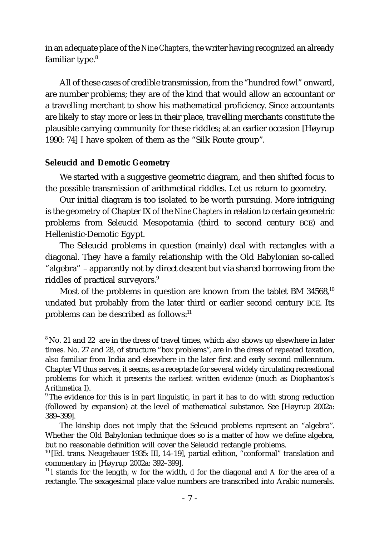in an adequate place of the *Nine Chapters*, the writer having recognized an already familiar type.<sup>8</sup>

All of these cases of credible transmission, from the "hundred fowl" onward, are number problems; they are of the kind that would allow an accountant or a travelling merchant to show his mathematical proficiency. Since accountants are likely to stay more or less in their place, travelling merchants constitute the plausible carrying community for these riddles; at an earlier occasion [Høyrup 1990: 74] I have spoken of them as the "Silk Route group".

## **Seleucid and Demotic Geometry**

We started with a suggestive geometric diagram, and then shifted focus to the possible transmission of arithmetical riddles. Let us return to geometry.

Our initial diagram is too isolated to be worth pursuing. More intriguing is the geometry of Chapter IX of the *Nine Chapters* in relation to certain geometric problems from Seleucid Mesopotamia (third to second century BCE) and Hellenistic-Demotic Egypt.

The Seleucid problems in question (mainly) deal with rectangles with a diagonal. They have a family relationship with the Old Babylonian so-called "algebra" – apparently not by direct descent but via shared borrowing from the riddles of practical surveyors.<sup>9</sup>

Most of the problems in question are known from the tablet BM  $34568$ ,<sup>10</sup> undated but probably from the later third or earlier second century BCE. Its problems can be described as follows:<sup>11</sup>

<sup>&</sup>lt;sup>8</sup> No. 21 and 22 are in the dress of travel times, which also shows up elsewhere in later times. No. 27 and 28, of structure "box problems", are in the dress of repeated taxation, also familiar from India and elsewhere in the later first and early second millennium. Chapter VI thus serves, it seems, as a receptacle for several widely circulating recreational problems for which it presents the earliest written evidence (much as Diophantos's *Arithmetica* I).

<sup>&</sup>lt;sup>9</sup> The evidence for this is in part linguistic, in part it has to do with strong reduction (followed by expansion) at the level of mathematical substance. See [Høyrup 2002a: 389–399].

The kinship does not imply that the Seleucid problems represent an "algebra". Whether the Old Babylonian technique does so is a matter of how we define algebra, but no reasonable definition will cover the Seleucid rectangle problems.

<sup>&</sup>lt;sup>10</sup> [Ed. trans. Neugebauer 1935: III, 14-19], partial edition, "conformal" translation and commentary in [Høyrup 2002a: 392–399].

<sup>11</sup> *l* stands for the length, *w* for the width, *d* for the diagonal and *A* for the area of a rectangle. The sexagesimal place value numbers are transcribed into Arabic numerals.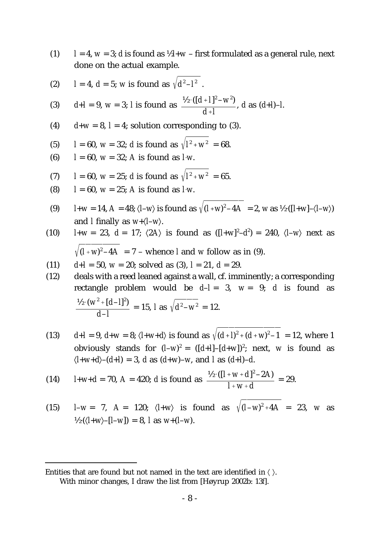- (1)  $l = 4$ ,  $w = 3$ ; *d* is found as  $\frac{1}{2}l + w$  first formulated as a general rule, next done on the actual example.
- (2)  $l = 4, d = 5$ ; *w* is found as  $\sqrt{d^2 l^2}$ .

(3) 
$$
d+1 = 9
$$
,  $w = 3$ ; *l* is found as  $\frac{1/2 \cdot ((d+1)^2 - w^2)}{d+1}$ , *d* as  $(d+1)-1$ .

- (4)  $d+w = 8$ ,  $l = 4$ ; solution corresponding to (3).
- (5)  $l = 60$ ,  $w = 32$ ; *d* is found as  $\sqrt{l^2 + w^2} = 68$ .
- (6)  $l = 60$ ,  $w = 32$ ; *A* is found as *l* w.
- (7)  $l = 60$ ,  $w = 25$ ; *d* is found as  $\sqrt{l^2 + w^2} = 65$ .
- (8)  $l = 60$ ,  $w = 25$ ; *A* is found as *l* w.
- (9)  $l+w = 14$ ,  $A = 48$ ;  $\langle l-w \rangle$  is found as  $\sqrt{(l+w)^2 4A} = 2$ ,  $w$  as  $\frac{1}{2} \cdot (\lfloor l+w \rfloor \langle l-w \rangle)$ and *l* finally as  $w + \langle l - w \rangle$ .
- (10)  $l+w = 23$ ,  $d = 17$ ;  $\langle 2A \rangle$  is found as  $([l+w]^2-d^2) = 240$ ,  $\langle l-w \rangle$  next as  $(I + w)^2 - 4A = 7$  – whence *l* and *w* follow as in (9).
- (11)  $d+1 = 50$ ,  $w = 20$ ; solved as (3),  $l = 21$ ,  $d = 29$ .
- (12) deals with a reed leaned against a wall, cf. imminently; a corresponding rectangle problem would be  $d-l = 3$ ,  $w = 9$ ; *d* is found as  $\frac{1}{2} \cdot (w^2 + [d-1]^2) = 15$ , *l* as  $\sqrt{d^2 - w^2} = 12$ . *d*–*l*  $d^2 - w^2$
- (13)  $d+1 = 9$ ,  $d+w = 8$ ;  $\langle l+w+d \rangle$  is found as  $\sqrt{(d+1)^2 + (d+w)^2 1} = 12$ , where 1 obviously stands for  $(L-w)^2 = ([d+I] - [d+w])^2$ ; next, *w* is found as  $\langle l+w+d \rangle - (d+l) = 3$ , *d* as  $(d+w) - w$ , and *l* as  $(d+l) - d$ .

(14) 
$$
l+w+d = 70
$$
,  $A = 420$ ; d is found as 
$$
\frac{\frac{1}{2} \cdot ( [l+w+d]^2 - 2A)}{l+w+d} = 29.
$$

(15)  $l-w = 7$ ,  $A = 120$ ;  $\langle l+w \rangle$  is found as  $\sqrt{(l-w)^2 + 4A} = 23$ , w as  $\frac{1}{2} \cdot \left( \left\langle l+w \right\rangle - \left\langle l-w \right\rangle \right) = 8, \text{ and } w + \left( l-w \right).$ 

Entities that are found but not named in the text are identified in  $\langle \ \rangle$ . With minor changes, I draw the list from [Høyrup 2002b: 13*f*].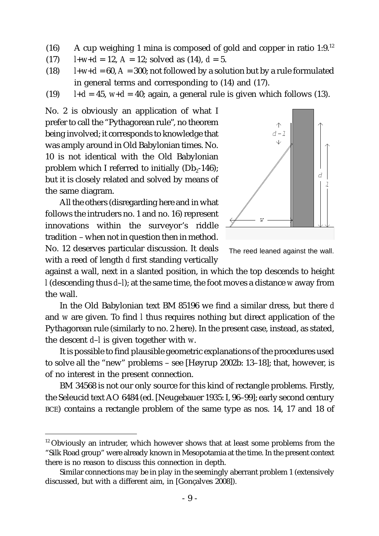- (16) A cup weighing 1 mina is composed of gold and copper in ratio  $1:9.^{12}$
- (17)  $l+w+d = 12$ ,  $A = 12$ ; solved as (14),  $d = 5$ .
- (18)  $l+w+d = 60$ ,  $A = 300$ ; not followed by a solution but by a rule formulated in general terms and corresponding to (14) and (17).
- (19)  $l+d = 45$ ,  $w+d = 40$ ; again, a general rule is given which follows (13).

No. 2 is obviously an application of what I prefer to call the "Pythagorean rule", no theorem being involved; it corresponds to knowledge that was amply around in Old Babylonian times. No. 10 is not identical with the Old Babylonian problem which I referred to initially  $(Db<sub>2</sub>-146)$ ; but it is closely related and solved by means of the same diagram.

All the others (disregarding here and in what follows the intruders no. 1 and no. 16) represent innovations within the surveyor's riddle tradition – when not in question then in method. No. 12 deserves particular discussion. It deals with a reed of length *d* first standing vertically



The reed leaned against the wall.

against a wall, next in a slanted position, in which the top descends to height *l* (descending thus *d*–*l*); at the same time, the foot moves a distance *w* away from the wall.

In the Old Babylonian text BM 85196 we find a similar dress, but there *d* and *w* are given. To find *l* thus requires nothing but direct application of the Pythagorean rule (similarly to no. 2 here). In the present case, instead, as stated, the descent *d*–*l* is given together with *w*.

It is possible to find plausible geometric explanations of the procedures used to solve all the "new" problems – see [Høyrup 2002b: 13–18]; that, however, is of no interest in the present connection.

BM 34568 is not our only source for this kind of rectangle problems. Firstly, the Seleucid text AO 6484 (ed. [Neugebauer 1935: I, 96–99]; early second century BCE) contains a rectangle problem of the same type as nos. 14, 17 and 18 of

<sup>&</sup>lt;sup>12</sup> Obviously an intruder, which however shows that at least some problems from the "Silk Road group" were already known in Mesopotamia at the time. In the present context there is no reason to discuss this connection in depth.

Similar connections *may* be in play in the seemingly aberrant problem 1 (extensively discussed, but with a different aim, in [Gonçalves 2008]).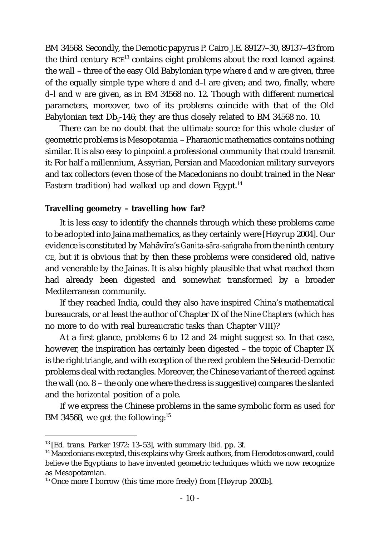BM 34568. Secondly, the Demotic papyrus P. Cairo J.E. 89127–30, 89137–43 from the third century  $BCE^{13}$  contains eight problems about the reed leaned against the wall – three of the easy Old Babylonian type where *d* and *w* are given, three of the equally simple type where *d* and *d*–*l* are given; and two, finally, where *d*–*l* and *w* are given, as in BM 34568 no. 12. Though with different numerical parameters, moreover, two of its problems coincide with that of the Old Babylonian text  $Db_2$ -146; they are thus closely related to BM 34568 no. 10.

There can be no doubt that the ultimate source for this whole cluster of geometric problems is Mesopotamia – Pharaonic mathematics contains nothing similar. It is also easy to pinpoint a professional community that could transmit it: For half a millennium, Assyrian, Persian and Macedonian military surveyors and tax collectors (even those of the Macedonians no doubt trained in the Near Eastern tradition) had walked up and down Egypt.<sup>14</sup>

#### **Travelling geometry – travelling how far?**

It is less easy to identify the channels through which these problems came to be adopted into Jaina mathematics, as they certainly were [Høyrup 2004]. Our evidence is constituted by Mahāvīra's *Ganita-sāra-saṅgraha* from the ninth century CE, but it is obvious that by then these problems were considered old, native and venerable by the Jainas. It is also highly plausible that what reached them had already been digested and somewhat transformed by a broader Mediterranean community.

If they reached India, could they also have inspired China's mathematical bureaucrats, or at least the author of Chapter IX of the *Nine Chapters* (which has no more to do with real bureaucratic tasks than Chapter VIII)?

At a first glance, problems 6 to 12 and 24 might suggest so. In that case, however, the inspiration has certainly been digested – the topic of Chapter IX is the right *triangle*, and with exception of the reed problem the Seleucid-Demotic problems deal with rectangles. Moreover, the Chinese variant of the reed against the wall (no. 8 – the only one where the dress is suggestive) compares the slanted and the *horizontal* position of a pole.

If we express the Chinese problems in the same symbolic form as used for BM 34568, we get the following:<sup>15</sup>

<sup>13</sup> [Ed. trans. Parker 1972: 13–53], with summary *ibid*. pp. 3*f*.

<sup>&</sup>lt;sup>14</sup> Macedonians excepted, this explains why Greek authors, from Herodotos onward, could believe the Egyptians to have invented geometric techniques which we now recognize as Mesopotamian.

 $15$  Once more I borrow (this time more freely) from [Høyrup 2002b].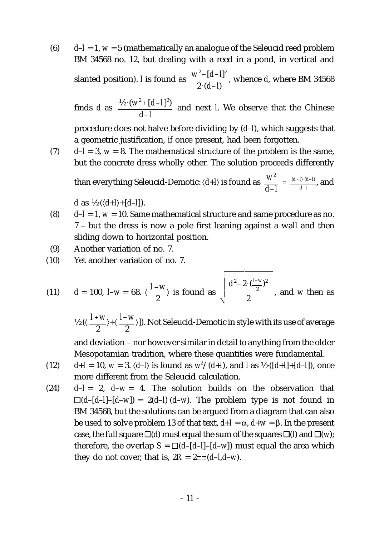(6) *d*–*l* = 1, *w* = 5 (mathematically an analogue of the Seleucid reed problem BM 34568 no. 12, but dealing with a reed in a pond, in vertical and slanted position). *l* is found as  $\frac{w^2 - [d-1]^2}{2}$ , whence *d*, where BM 34568 2 (*d*–*l*)

finds *d* as  $\frac{1}{2} \cdot (w^2 + [d-1]^2)$  and next *l*. We observe that the Chinese *d*–*l*

procedure does not halve before dividing by (*d*–*l*), which suggests that a geometric justification, *if* once present, had been forgotten.

(7)  $d-I = 3$ ,  $w = 8$ . The mathematical structure of the problem is the same, but the concrete dress wholly other. The solution proceeds differently

than everything Seleucid-Demotic:  $\langle d+I \rangle$  is found as  $\frac{W^2}{\lambda} = \frac{(d+I) \cdot (d-I)}{d\lambda}$ , and *d*–*l*  $(d+1) \cdot (d-1)$ *d*–*l*

*d* as  $\frac{1}{2} \cdot \left( \frac{d+1}{d-1} \right)$ .

- (8) *d*–*l* = 1, *w* = 10. Same mathematical structure and same procedure as no. 7 – but the dress is now a pole first leaning against a wall and then sliding down to horizontal position.
- (9) Another variation of no. 7.
- (10) Yet another variation of no. 7.

(11) 
$$
d = 100
$$
,  $I-w = 68$ .  $\langle \frac{I+w}{2} \rangle$  is found as  $\sqrt{\frac{d^2 - 2 \cdot (\frac{I-w}{2})^2}{2}}$ , and *w* then as

 $\frac{1}{2}$  ( $\langle \frac{I+W}{2}\rangle$ + $\langle \frac{I-W}{2}\rangle$ )). Not Seleucid-Demotic in style with its use of average 2 *l*–*w* 2

and deviation – nor however similar in detail to anything from the older Mesopotamian tradition, where these quantities were fundamental.

- (12)  $d+I = 10$ ,  $w = 3$ .  $\langle d-\bar{l} \rangle$  is found as  $w^2/(d+I)$ , and  $I$  as  $\frac{1}{2}$ .  $([d+I]+[d-I])$ , once more different from the Seleucid calculation.
- (24)  $d-l = 2$ ,  $d-w = 4$ . The solution builds on the observation that  $\Box(d-[d-1]-[d-w]) = 2(d-1)(d-w)$ . The problem type is not found in BM 34568, but the solutions can be argued from a diagram that can also be used to solve problem 13 of that text, *d*+*l* = α, *d*+*w* = β. In the present case, the full square  $\square(d)$  must equal the sum of the squares  $\square(l)$  and  $\square(w)$ ; therefore, the overlap  $S = \Box(d-[d-1]-[d-w])$  must equal the area which they do not cover, that is,  $2R = 2 \equiv (d - 1, d - w)$ .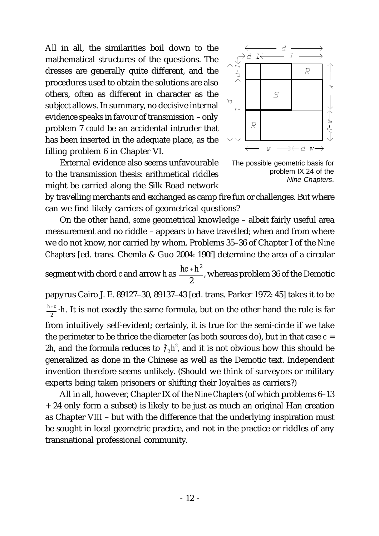All in all, the similarities boil down to the mathematical structures of the questions. The dresses are generally quite different, and the procedures used to obtain the solutions are also others, often as different in character as the subject allows. In summary, no decisive internal evidence speaks in favour of transmission – only problem 7 *could* be an accidental intruder that has been inserted in the adequate place, as the filling problem 6 in Chapter VI.

External evidence also seems unfavourable to the transmission thesis: arithmetical riddles might be carried along the Silk Road network



The possible geometric basis for problem IX.24 of the *Nine Chapters*.

by travelling merchants and exchanged as camp fire fun or challenges. But where can we find likely carriers of geometrical questions?

On the other hand, *some* geometrical knowledge – albeit fairly useful area measurement and no riddle – appears to have travelled; when and from where we do not know, nor carried by whom. Problems 35–36 of Chapter I of the *Nine Chapters* [ed. trans. Chemla & Guo 2004: 190*f*] determine the area of a circular

segment with chord *c* and arrow *h* as  $\frac{hc+h^2}{2}$ , whereas problem 36 of the Demotic 2

papyrus Cairo J. E. 89127–30, 89137–43 [ed. trans. Parker 1972: 45] takes it to be  $\frac{h+c}{2}$   $\cdot$  *h*. It is not exactly the same formula, but on the other hand the rule is far from intuitively self-evident; certainly, it is true for the semi-circle if we take the perimeter to be thrice the diameter (as both sources do), but in that case  $c =$ 2*h*, and the formula reduces to  $\frac{3}{2}h^2$ , and it is not obvious how this should be generalized as done in the Chinese as well as the Demotic text. Independent invention therefore seems unlikely. (Should we think of surveyors or military experts being taken prisoners or shifting their loyalties as carriers?)

All in all, however, Chapter IX of the *Nine Chapters* (of which problems 6–13 + 24 only form a subset) is likely to be just as much an original Han creation as Chapter VIII – but with the difference that the underlying inspiration must be sought in local geometric practice, and not in the practice or riddles of any transnational professional community.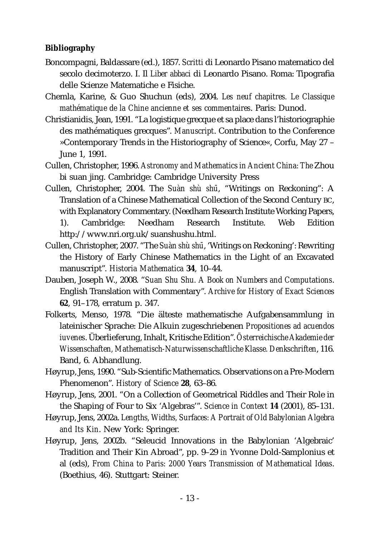## **Bibliography**

- Boncompagni, Baldassare (ed.), 1857. *Scritti* di Leonardo Pisano matematico del secolo decimoterzo. I. Il *Liber abbaci* di Leonardo Pisano. Roma: Tipografia delle Scienze Matematiche e Fisiche.
- Chemla, Karine, & Guo Shuchun (eds), 2004. *Les neuf chapitres. Le Classique mathématique de la Chine ancienne et ses commentaires*. Paris: Dunod.
- Christianidis, Jean, 1991. "La logistique grecque et sa place dans l'historiographie des mathématiques grecques". *Manuscript*. Contribution to the Conference »Contemporary Trends in the Historiography of Science«, Corfu, May 27 – June 1, 1991.
- Cullen, Christopher, 1996. *Astronomy and Mathematics in Ancient China: The* Zhou bi suan jing. Cambridge: Cambridge University Press
- Cullen, Christopher, 2004. The *Suàn shù shū*, "Writings on Reckoning": A Translation of a Chinese Mathematical Collection of the Second Century BC, with Explanatory Commentary. (Needham Research Institute Working Papers, 1). Cambridge: Needham Research Institute. Web Edition http://www.nri.org.uk/suanshushu.html.
- Cullen, Christopher, 2007. "The *Suàn shù shu¯*, 'Writings on Reckoning': Rewriting the History of Early Chinese Mathematics in the Light of an Excavated manuscript". *Historia Mathematica* **34**, 10–44.
- Dauben, Joseph W., 2008. "*Suan Shu Shu. A Book on Numbers and Computations*. English Translation with Commentary". *Archive for History of Exact Sciences* **62**, 91–178, erratum p. 347.
- Folkerts, Menso, 1978. "Die älteste mathematische Aufgabensammlung in lateinischer Sprache: Die Alkuin zugeschriebenen *Propositiones ad acuendos iuvenes*. Überlieferung, Inhalt, Kritische Edition". *Österreichische Akademie der Wissenschaften, Mathematisch-Naturwissenschaftliche Klasse. Denkschriften*, 116. Band, 6. Abhandlung.
- Høyrup, Jens, 1990. "Sub-Scientific Mathematics. Observations on a Pre-Modern Phenomenon". *History of Science* **28**, 63–86.
- Høyrup, Jens, 2001. "On a Collection of Geometrical Riddles and Their Role in the Shaping of Four to Six 'Algebras'". *Science in Context* **14** (2001), 85–131.
- Høyrup, Jens, 2002a. *Lengths, Widths, Surfaces: A Portrait of Old Babylonian Algebra and Its Kin*. New York: Springer.
- Høyrup, Jens, 2002b. "Seleucid Innovations in the Babylonian 'Algebraic' Tradition and Their Kin Abroad", pp. 9–29 *in* Yvonne Dold-Samplonius et al (eds), *From China to Paris: 2000 Years Transmission of Mathematical Ideas*. (Boethius, 46). Stuttgart: Steiner.